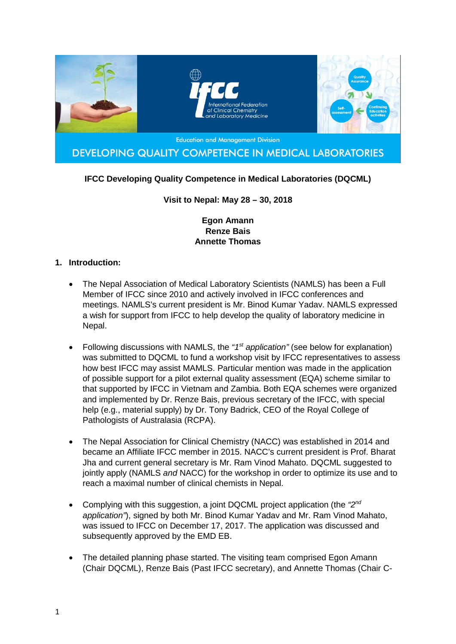

# **IFCC Developing Quality Competence in Medical Laboratories (DQCML)**

### **Visit to Nepal: May 28 – 30, 2018**

### **Egon Amann Renze Bais Annette Thomas**

### **1. Introduction:**

- The Nepal Association of Medical Laboratory Scientists (NAMLS) has been a Full Member of IFCC since 2010 and actively involved in IFCC conferences and meetings. NAMLS's current president is Mr. Binod Kumar Yadav. NAMLS expressed a wish for support from IFCC to help develop the quality of laboratory medicine in Nepal.
- Following discussions with NAMLS, the *"1st application"* (see below for explanation) was submitted to DQCML to fund a workshop visit by IFCC representatives to assess how best IFCC may assist MAMLS. Particular mention was made in the application of possible support for a pilot external quality assessment (EQA) scheme similar to that supported by IFCC in Vietnam and Zambia. Both EQA schemes were organized and implemented by Dr. Renze Bais, previous secretary of the IFCC, with special help (e.g., material supply) by Dr. Tony Badrick, CEO of the Royal College of Pathologists of Australasia (RCPA).
- The Nepal Association for Clinical Chemistry (NACC) was established in 2014 and became an Affiliate IFCC member in 2015. NACC's current president is Prof. Bharat Jha and current general secretary is Mr. Ram Vinod Mahato. DQCML suggested to jointly apply (NAMLS *and* NACC) for the workshop in order to optimize its use and to reach a maximal number of clinical chemists in Nepal.
- Complying with this suggestion, a joint DQCML project application (the *"2nd application"*), signed by both Mr. Binod Kumar Yadav and Mr. Ram Vinod Mahato, was issued to IFCC on December 17, 2017. The application was discussed and subsequently approved by the EMD EB.
- The detailed planning phase started. The visiting team comprised Egon Amann (Chair DQCML), Renze Bais (Past IFCC secretary), and Annette Thomas (Chair C-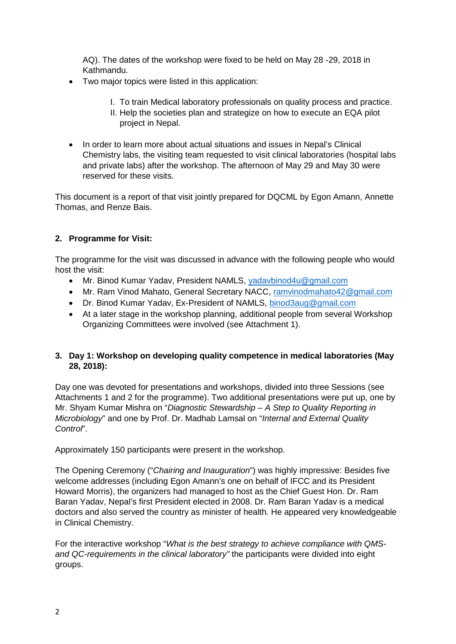AQ). The dates of the workshop were fixed to be held on May 28 -29, 2018 in Kathmandu.

- Two major topics were listed in this application:
	- I. To train Medical laboratory professionals on quality process and practice.
	- II. Help the societies plan and strategize on how to execute an EQA pilot project in Nepal.
- In order to learn more about actual situations and issues in Nepal's Clinical Chemistry labs, the visiting team requested to visit clinical laboratories (hospital labs and private labs) after the workshop. The afternoon of May 29 and May 30 were reserved for these visits.

This document is a report of that visit jointly prepared for DQCML by Egon Amann, Annette Thomas, and Renze Bais.

## **2. Programme for Visit:**

The programme for the visit was discussed in advance with the following people who would host the visit:

- Mr. Binod Kumar Yadav, President NAMLS, [yadavbinod4u@gmail.com](mailto:yadavbinod4u@gmail.com)
- Mr. Ram Vinod Mahato, General Secretary NACC, [ramvinodmahato42@gmail.com](mailto:ramvinodmahato42@gmail.com)
- Dr. Binod Kumar Yadav, Ex-President of NAMLS, [binod3aug@gmail.com](mailto:binod3aug@gmail.com)
- At a later stage in the workshop planning, additional people from several Workshop Organizing Committees were involved (see Attachment 1).

### **3. Day 1: Workshop on developing quality competence in medical laboratories (May 28, 2018):**

Day one was devoted for presentations and workshops, divided into three Sessions (see Attachments 1 and 2 for the programme). Two additional presentations were put up, one by Mr. Shyam Kumar Mishra on "*Diagnostic Stewardship – A Step to Quality Reporting in Microbiology*" and one by Prof. Dr. Madhab Lamsal on "*Internal and External Quality Control*".

Approximately 150 participants were present in the workshop.

The Opening Ceremony ("*Chairing and Inauguration*") was highly impressive: Besides five welcome addresses (including Egon Amann's one on behalf of IFCC and its President Howard Morris), the organizers had managed to host as the Chief Guest Hon. Dr. Ram Baran Yadav, Nepal's first President elected in 2008. Dr. Ram Baran Yadav is a medical doctors and also served the country as minister of health. He appeared very knowledgeable in Clinical Chemistry.

For the interactive workshop "*What is the best strategy to achieve compliance with QMSand QC-requirements in the clinical laboratory"* the participants were divided into eight groups.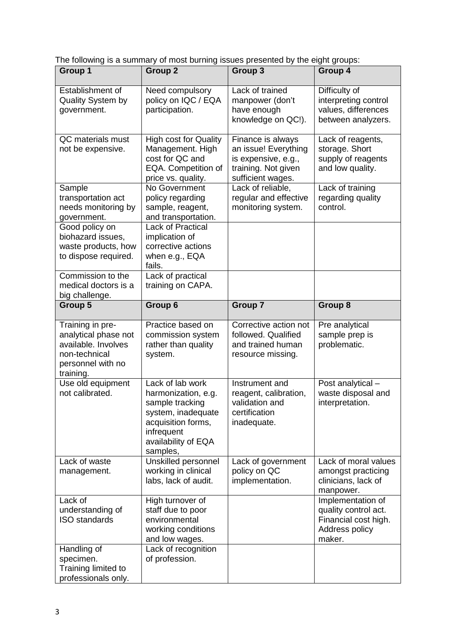The following is a summary of most burning issues presented by the eight groups:

| Group 1                                                                                                            | Group <sub>2</sub>                                                                                                                                      | <b>Group 3</b>                                                                                               | Group 4                                                                                       |
|--------------------------------------------------------------------------------------------------------------------|---------------------------------------------------------------------------------------------------------------------------------------------------------|--------------------------------------------------------------------------------------------------------------|-----------------------------------------------------------------------------------------------|
| Establishment of<br><b>Quality System by</b><br>government.                                                        | Need compulsory<br>policy on IQC / EQA<br>participation.                                                                                                | Lack of trained<br>manpower (don't<br>have enough<br>knowledge on QC!).                                      | Difficulty of<br>interpreting control<br>values, differences<br>between analyzers.            |
| QC materials must<br>not be expensive.                                                                             | <b>High cost for Quality</b><br>Management. High<br>cost for QC and<br>EQA. Competition of<br>price vs. quality.                                        | Finance is always<br>an issue! Everything<br>is expensive, e.g.,<br>training. Not given<br>sufficient wages. | Lack of reagents,<br>storage. Short<br>supply of reagents<br>and low quality.                 |
| Sample<br>transportation act<br>needs monitoring by<br>government.                                                 | No Government<br>policy regarding<br>sample, reagent,<br>and transportation.                                                                            | Lack of reliable,<br>regular and effective<br>monitoring system.                                             | Lack of training<br>regarding quality<br>control.                                             |
| Good policy on<br>biohazard issues,<br>waste products, how<br>to dispose required.                                 | <b>Lack of Practical</b><br>implication of<br>corrective actions<br>when e.g., EQA<br>fails.                                                            |                                                                                                              |                                                                                               |
| Commission to the<br>medical doctors is a<br>big challenge.                                                        | Lack of practical<br>training on CAPA.                                                                                                                  |                                                                                                              |                                                                                               |
| Group 5                                                                                                            | Group 6                                                                                                                                                 | <b>Group 7</b>                                                                                               | Group 8                                                                                       |
| Training in pre-<br>analytical phase not<br>available. Involves<br>non-technical<br>personnel with no<br>training. | Practice based on<br>commission system<br>rather than quality<br>system.                                                                                | Corrective action not<br>followed. Qualified<br>and trained human<br>resource missing.                       | Pre analytical<br>sample prep is<br>problematic.                                              |
| Use old equipment<br>not calibrated.                                                                               | Lack of lab work<br>harmonization, e.g.<br>sample tracking<br>system, inadequate<br>acquisition forms,<br>infrequent<br>availability of EQA<br>samples, | Instrument and<br>reagent, calibration,<br>validation and<br>certification<br>inadequate.                    | Post analytical -<br>waste disposal and<br>interpretation.                                    |
| Lack of waste<br>management.                                                                                       | Unskilled personnel<br>working in clinical<br>labs, lack of audit.                                                                                      | Lack of government<br>policy on QC<br>implementation.                                                        | Lack of moral values<br>amongst practicing<br>clinicians, lack of<br>manpower.                |
| Lack of<br>understanding of<br><b>ISO</b> standards                                                                | High turnover of<br>staff due to poor<br>environmental<br>working conditions<br>and low wages.                                                          |                                                                                                              | Implementation of<br>quality control act.<br>Financial cost high.<br>Address policy<br>maker. |
| Handling of<br>specimen.<br>Training limited to<br>professionals only.                                             | Lack of recognition<br>of profession.                                                                                                                   |                                                                                                              |                                                                                               |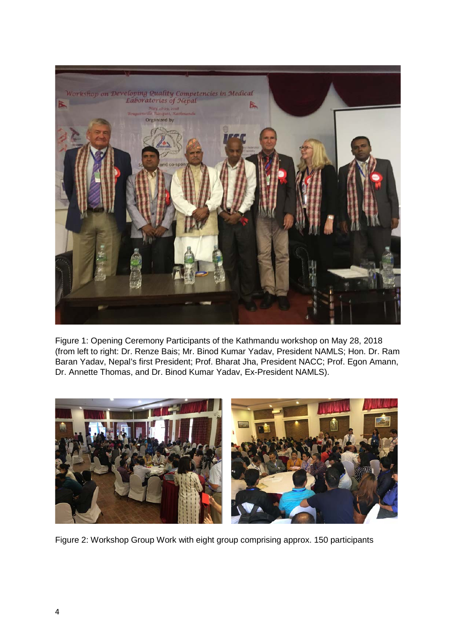

Figure 1: Opening Ceremony Participants of the Kathmandu workshop on May 28, 2018 (from left to right: Dr. Renze Bais; Mr. Binod Kumar Yadav, President NAMLS; Hon. Dr. Ram Baran Yadav, Nepal's first President; Prof. Bharat Jha, President NACC; Prof. Egon Amann, Dr. Annette Thomas, and Dr. Binod Kumar Yadav, Ex-President NAMLS).



Figure 2: Workshop Group Work with eight group comprising approx. 150 participants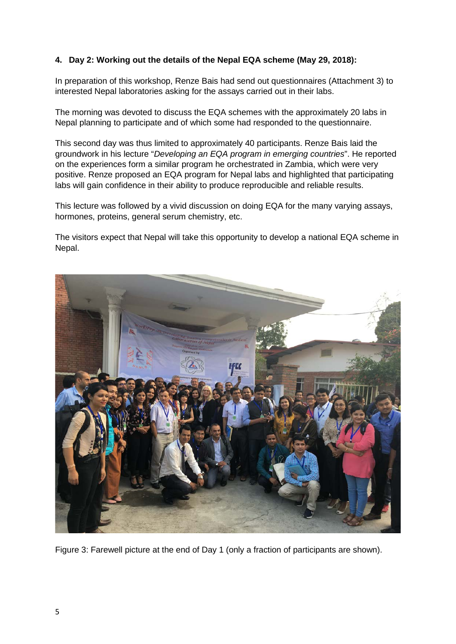## **4. Day 2: Working out the details of the Nepal EQA scheme (May 29, 2018):**

In preparation of this workshop, Renze Bais had send out questionnaires (Attachment 3) to interested Nepal laboratories asking for the assays carried out in their labs.

The morning was devoted to discuss the EQA schemes with the approximately 20 labs in Nepal planning to participate and of which some had responded to the questionnaire.

This second day was thus limited to approximately 40 participants. Renze Bais laid the groundwork in his lecture "*Developing an EQA program in emerging countries*". He reported on the experiences form a similar program he orchestrated in Zambia, which were very positive. Renze proposed an EQA program for Nepal labs and highlighted that participating labs will gain confidence in their ability to produce reproducible and reliable results.

This lecture was followed by a vivid discussion on doing EQA for the many varying assays, hormones, proteins, general serum chemistry, etc.

The visitors expect that Nepal will take this opportunity to develop a national EQA scheme in Nepal.



Figure 3: Farewell picture at the end of Day 1 (only a fraction of participants are shown).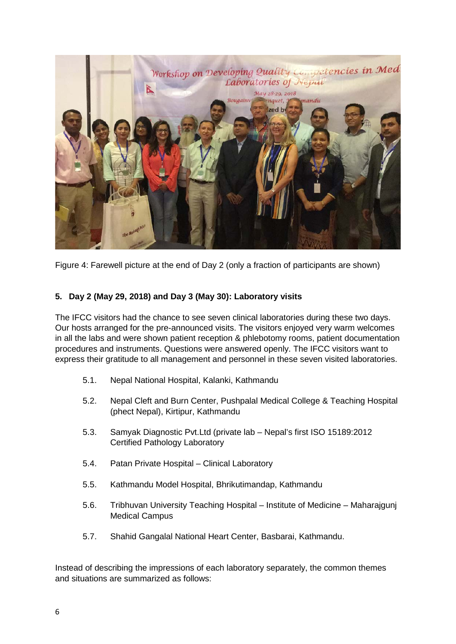

Figure 4: Farewell picture at the end of Day 2 (only a fraction of participants are shown)

## **5. Day 2 (May 29, 2018) and Day 3 (May 30): Laboratory visits**

The IFCC visitors had the chance to see seven clinical laboratories during these two days. Our hosts arranged for the pre-announced visits. The visitors enjoyed very warm welcomes in all the labs and were shown patient reception & phlebotomy rooms, patient documentation procedures and instruments. Questions were answered openly. The IFCC visitors want to express their gratitude to all management and personnel in these seven visited laboratories.

- 5.1. Nepal National Hospital, Kalanki, Kathmandu
- 5.2. Nepal Cleft and Burn Center, Pushpalal Medical College & Teaching Hospital (phect Nepal), Kirtipur, Kathmandu
- 5.3. Samyak Diagnostic Pvt.Ltd (private lab Nepal's first ISO 15189:2012 Certified Pathology Laboratory
- 5.4. Patan Private Hospital Clinical Laboratory
- 5.5. Kathmandu Model Hospital, Bhrikutimandap, Kathmandu
- 5.6. Tribhuvan University Teaching Hospital Institute of Medicine Maharajgunj Medical Campus
- 5.7. Shahid Gangalal National Heart Center, Basbarai, Kathmandu.

Instead of describing the impressions of each laboratory separately, the common themes and situations are summarized as follows: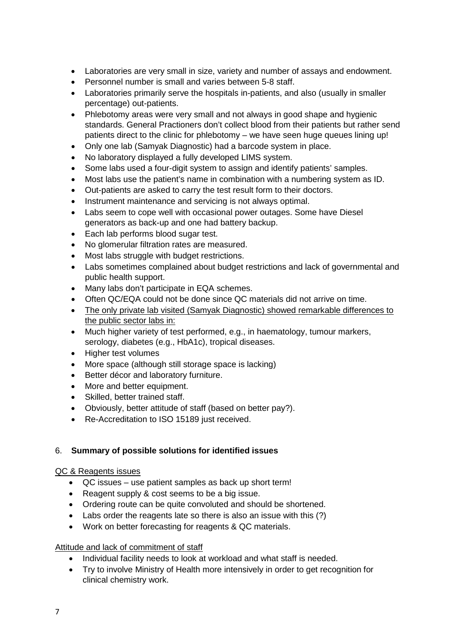- Laboratories are very small in size, variety and number of assays and endowment.
- Personnel number is small and varies between 5-8 staff.
- Laboratories primarily serve the hospitals in-patients, and also (usually in smaller percentage) out-patients.
- Phlebotomy areas were very small and not always in good shape and hygienic standards. General Practioners don't collect blood from their patients but rather send patients direct to the clinic for phlebotomy – we have seen huge queues lining up!
- Only one lab (Samyak Diagnostic) had a barcode system in place.
- No laboratory displayed a fully developed LIMS system.
- Some labs used a four-digit system to assign and identify patients' samples.
- Most labs use the patient's name in combination with a numbering system as ID.
- Out-patients are asked to carry the test result form to their doctors.
- Instrument maintenance and servicing is not always optimal.
- Labs seem to cope well with occasional power outages. Some have Diesel generators as back-up and one had battery backup.
- Each lab performs blood sugar test.
- No glomerular filtration rates are measured.
- Most labs struggle with budget restrictions.
- Labs sometimes complained about budget restrictions and lack of governmental and public health support.
- Many labs don't participate in EQA schemes.
- Often QC/EQA could not be done since QC materials did not arrive on time.
- The only private lab visited (Samyak Diagnostic) showed remarkable differences to the public sector labs in:
- Much higher variety of test performed, e.g., in haematology, tumour markers, serology, diabetes (e.g., HbA1c), tropical diseases.
- Higher test volumes
- More space (although still storage space is lacking)
- Better décor and laboratory furniture.
- More and better equipment.
- Skilled, better trained staff.
- Obviously, better attitude of staff (based on better pay?).
- Re-Accreditation to ISO 15189 just received.

### 6. **Summary of possible solutions for identified issues**

### QC & Reagents issues

- QC issues use patient samples as back up short term!
- Reagent supply & cost seems to be a big issue.
- Ordering route can be quite convoluted and should be shortened.
- Labs order the reagents late so there is also an issue with this (?)
- Work on better forecasting for reagents & QC materials.

### Attitude and lack of commitment of staff

- Individual facility needs to look at workload and what staff is needed.
- Try to involve Ministry of Health more intensively in order to get recognition for clinical chemistry work.